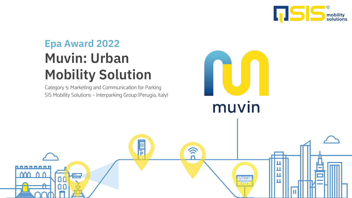

## **Muvin: Urban Mobility Solution Epa Award 2022**

Category 5: Marketing and Communication for Parking SIS Mobility Solutions – Interparking Group (Perugia, Italy)

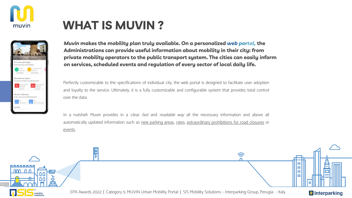

### **WHAT IS MUVIN ?**



*Muvin* **makes the mobility plan truly available. On a personalized** *web portal,* **the Administrations can provide useful information about mobility in their city: from private mobility operators to the public transport system. The cities can easily inform on services, scheduled events and regulation of every sector of local daily life.** 

Perfectly customizable to the specifications of individual city, the web portal is designed to facilitate user adoption and loyalty to the service. Ultimately, it is a fully customizable and configurable system that provides total control over the data.

In a nutshell: Muvin provides in a *clear, fast* and *readable way* all the necessary information and above all automatically updated information such as new parking areas, rates, extraordinary prohibitions for road closures or events.

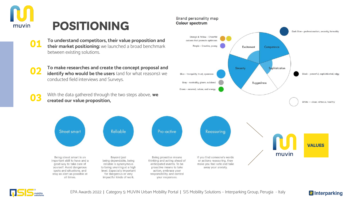

- **To understand competitors, their value proposition and their market positioning:** we launched a broad benchmark between existing solutions. **01**
- **To make researches and create the concept proposal and identify who would be the users** (and for what reasons): we conducted field interviews and Surveys. **02**

With the data gathered through the two steps above, **we created our value proposition**,

Reliable

Beyond just

being dependable, being

reliable is synonymous

to being unerring at a high

level. Especially important

for dangerous or very impactful kinds of work. Brand personality map **Colour spectrum** 



Being street smart is an important skill to have and a good way to take care of yourself. Avoid dangerous spots and situations, and stay as alert as possible at all times.

**Street smart** 

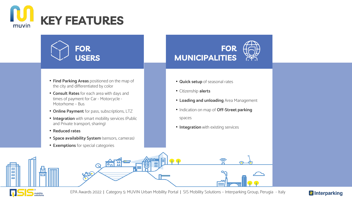



- **Find Parking Areas** positioned on the map of the city and differentiated by color
- **Consult Rates** for each area with days and times of payment for Car - Motorcycle - Motorhome – Bus
- **Online Payment** for pass, subscriptions, LTZ
- **Integration** with smart mobility services (Public and Private transport, sharing)
- **Reduced rates**
- **Space availability System** (sensors, cameras)

<u>eta e</u>

• **Exemptions** for special categories

### **FOR MUNICIPALITIES**

- **Quick setup** of seasonal rates
- Citizenship **alerts**
- **Loading and unloading** Area Management
- Indication on map of **Off-Street parking**  spaces

রি

• **Integration** with existing services



EPA Awards 2022 | Category 5: MUVIN Urban Mobility Portal | SIS Mobility Solutions – Interparking Group, Perugia - Italy

目

鹘

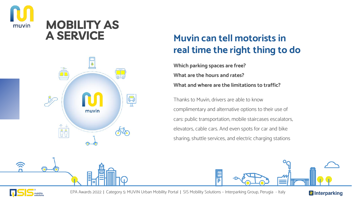

### **MOBILITY AS A SERVICE**



### **Muvin can tell motorists in real time the right thing to do**

**Which parking spaces are free? What are the hours and rates? What and where are the limitations to traffic?**

Thanks to Muvin, drivers are able to know complimentary and alternative options to their use of cars: public transportation, mobile staircases escalators, elevators, cable cars. And even spots for car and bike sharing, shuttle services, and electric charging stations





<u>(</u>(र

EPA Awards 2022 | Category 5: MUVIN Urban Mobility Portal | SIS Mobility Solutions – Interparking Group, Perugia - Italy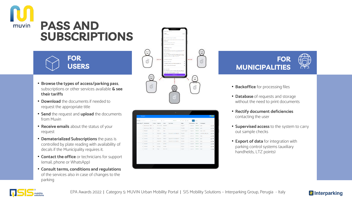

# **SUBSCRIPTIONS**

#### **FOR USERS**

- **Browse the types of access/parking pass**, subscriptions or other services available **& see their tariffs**
- **Download** the documents if needed to request the appropriate title
- **Send** the request and **upload** the documents from Muvin
- **Receive emails** about the status of your request
- **Dematerialized Subscriptions** the pass is controlled by plate reading with availability of decals if the Municipality requires it.
- **Contact the office** or technicians for support (email, phone or WhatsApp)
- **Consult terms, conditions and regulations**  of the services also in case of changes to the parking







- **Backoffice** for processing files
- **Database** of requests and storage without the need to print documents
- **Rectify document deficiencies** contacting the user
- **Supervised access** to the system to carry out sample checks
- **Export of data** for integration with parking control systems (auxiliary handhelds, LTZ points)

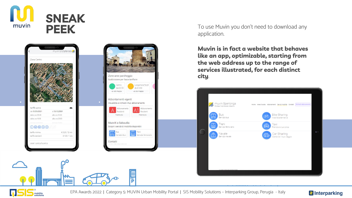



Zone aree parcheggio Suddivisione per fasce tariffarie Lungomare Nord da  $\epsilon$  0.50  $da \notin 0.50$ vai alla mappa vai alla mappa Abbontamenti vigenti Visualizza e richiedi il tuo abbonamento obonamento Abbonamento thehizes Residenti mostra più mostra più Muoviti a Sabaudia Scopri i servizi di mobilità disponibili Insert your arvizio bus Servizio ferroviario multimedia Contatti content here |<br>|-<br>|P

To use Muvin you don't need to download any application.

**Muvin is in fact a website that behaves like an app, optimizable, starting from the web address up to the range of services illustrated, for each distinct city**.



mobility

EPA Awards 2022 | Category 5: MUVIN Urban Mobility Portal | SIS Mobility Solutions – Interparking Group, Perugia - Italy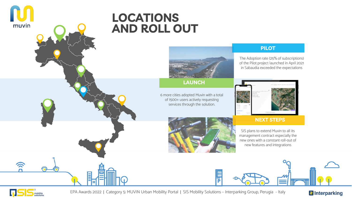

### **LOCATIONS AND ROLL OUT**



**LAUNCH**

6 more cities adopted Muvin with a total of 1500+ users actively requesting services through the solution.

#### **PILOT**

The Adoption rate (25% of subscriptions) of the Pilot project launched in April 2021 in Sabaudia exceeded the expectations



#### **NEXT STEPS**

SIS plans to extend Muvin to all its management contract especially the new ones with a constant roll-out of new features and integrations





 $\widehat{\mathbf{z}}$ 

EPA Awards 2022 | Category 5: MUVIN Urban Mobility Portal | SIS Mobility Solutions – Interparking Group, Perugia - Italy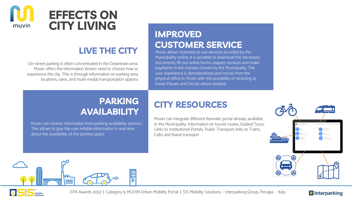

### **LIVE THE CITY**

On-street parking is often concentrated in the Downtown area. Muvin offers the information drivers need to choose how to experience the city. This is through information on parking area locations, rates, and multi-modal transportation options

### **IMPROVED CUSTOMER SERVICE**

Muvin allows motorists to use services provided by the Municipality online. It is possible to download the necessary documents, fill out online forms, request services and make payments in the manner chosen by the Municipality. The user experience is dematerialized and moves from the physical office to Muvin with the possibility of receiving at home Passes and Decals where needed.

### **PARKING AVAILABILITY**

Muvin can receive information from parking availability sensors. This allows to give the user reliable information in real time about the availability of the parking space

### **CITY RESOURCES**

Muvin can integrate different thematic portal already available in the Municipality. Information on tourist routes, Guided Tours, Links to Institutional Portals, Public Transport, links to Trains, Cabs and Naval transport





mobility

EPA Awards 2022 | Category 5: MUVIN Urban Mobility Portal | SIS Mobility Solutions – Interparking Group, Perugia - Italy